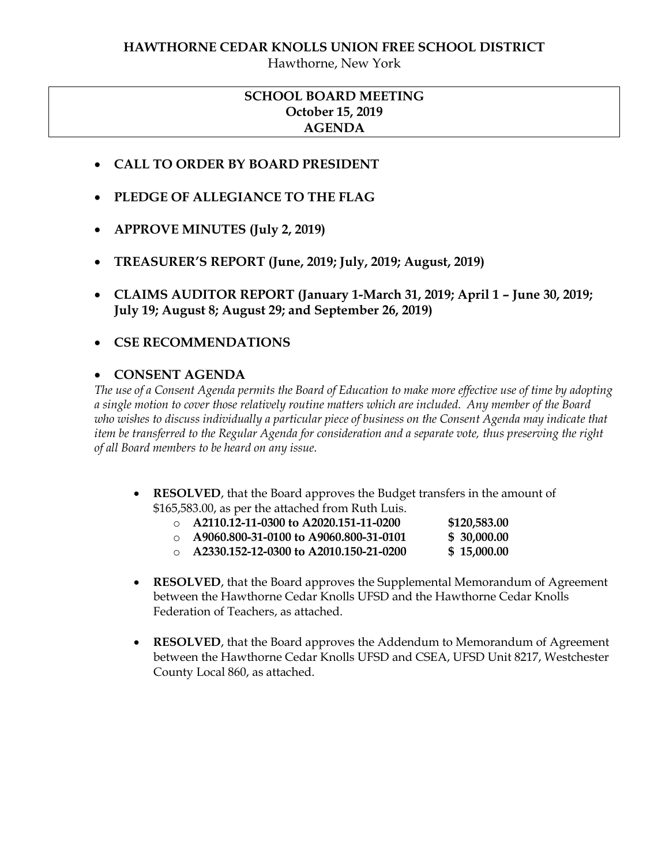Hawthorne, New York

# **SCHOOL BOARD MEETING October 15, 2019 AGENDA**

- **CALL TO ORDER BY BOARD PRESIDENT**
- **PLEDGE OF ALLEGIANCE TO THE FLAG**
- **APPROVE MINUTES (July 2, 2019)**
- **TREASURER'S REPORT (June, 2019; July, 2019; August, 2019)**
- **CLAIMS AUDITOR REPORT (January 1-March 31, 2019; April 1 – June 30, 2019; July 19; August 8; August 29; and September 26, 2019)**
- **CSE RECOMMENDATIONS**

# **CONSENT AGENDA**

*The use of a Consent Agenda permits the Board of Education to make more effective use of time by adopting a single motion to cover those relatively routine matters which are included. Any member of the Board who wishes to discuss individually a particular piece of business on the Consent Agenda may indicate that item be transferred to the Regular Agenda for consideration and a separate vote, thus preserving the right of all Board members to be heard on any issue.* 

 **RESOLVED**, that the Board approves the Budget transfers in the amount of \$165,583.00, as per the attached from Ruth Luis.

|        | A2110.12-11-0300 to A2020.151-11-0200  | \$120,583.00 |
|--------|----------------------------------------|--------------|
| $\cap$ | A9060.800-31-0100 to A9060.800-31-0101 | \$ 30,000.00 |
| $\cap$ | A2330.152-12-0300 to A2010.150-21-0200 | \$15,000.00  |

- **RESOLVED**, that the Board approves the Supplemental Memorandum of Agreement between the Hawthorne Cedar Knolls UFSD and the Hawthorne Cedar Knolls Federation of Teachers, as attached.
- **RESOLVED**, that the Board approves the Addendum to Memorandum of Agreement between the Hawthorne Cedar Knolls UFSD and CSEA, UFSD Unit 8217, Westchester County Local 860, as attached.